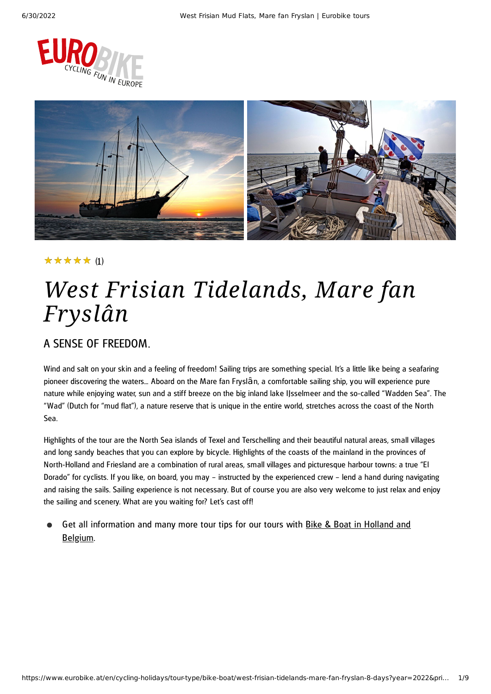



### (1) ★★★★★

# *West Frisian Tidelands, Mare fan Fryslân*

### A SENSE OF FREEDOM.

Wind and salt on your skin and a feeling of freedom! Sailing trips are something special. It's a little like being a seafaring pioneer discovering the waters... Aboard on the Mare fan Fryslân, a comfortable sailing ship, you will experience pure nature while enjoying water, sun and a stiff breeze on the big inland lake IJsselmeer and the so-called "Wadden Sea". The "Wad" (Dutch for "mud flat"), a nature reserve that is unique in the entire world, stretches across the coast of the North Sea.

Highlights of the tour are the North Sea islands of Texel and Terschelling and their beautiful natural areas, small villages and long sandy beaches that you can explore by bicycle. Highlights of the coasts of the mainland in the provinces of North-Holland and Friesland are a combination of rural areas, small villages and picturesque harbour towns: a true "El Dorado" for cyclists. If you like, on board, you may – instructed by the experienced crew – lend a hand during navigating and raising the sails. Sailing experience is not necessary. But of course you are also very welcome to just relax and enjoy the sailing and scenery. What are you waiting for? Let's cast off!

Get all [information](https://www.eurobike.at/en/cycling-holidays/tour-type/bike-boat/holland-belgium) and many more tour tips for our tours with **Bike & Boat in Holland and** Belgium.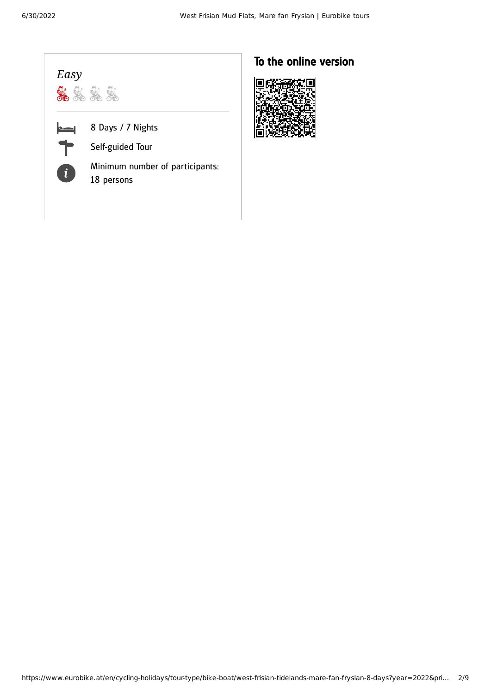| Easy |                                                                                        |
|------|----------------------------------------------------------------------------------------|
| i    | 8 Days / 7 Nights<br>Self-guided Tour<br>Minimum number of participants:<br>18 persons |

### To the online version

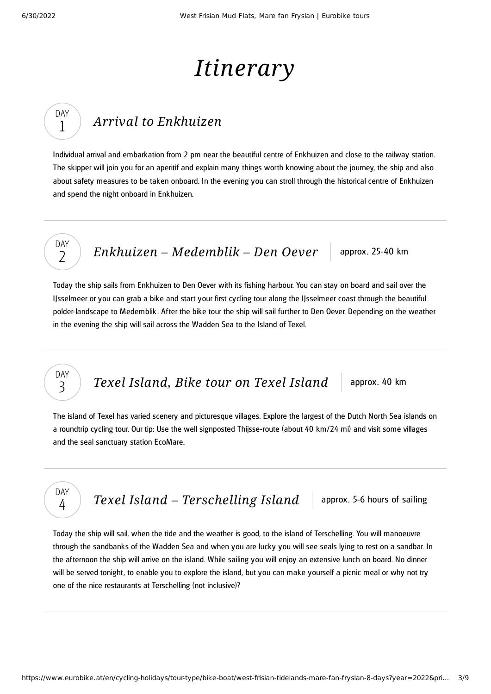DAY 1

DAY  $\overline{\phantom{a}}$ 

DAY 3

DAY 4

# *Itinerary*

## *Arrival to [Enkhuizen](#page-2-0)*

<span id="page-2-0"></span>Individual arrival and embarkation from 2 pm near the beautiful centre of Enkhuizen and close to the railway station. The skipper will join you for an aperitif and explain many things worth knowing about the journey, the ship and also about safety measures to be taken onboard. In the evening you can stroll through the historical centre of Enkhuizen and spend the night onboard in Enkhuizen.

*Enkhuizen – [Medemblik](#page-2-1) – Den Oever* approx. 25-40 km

<span id="page-2-1"></span>Today the ship sails from Enkhuizen to Den Oever with its fishing harbour. You can stay on board and sail over the IJsselmeer or you can grab a bike and start your first cycling tour along the IJsselmeer coast through the beautiful polder-landscape to Medemblik . After the bike tour the ship will sail further to Den Oever. Depending on the weather in the evening the ship will sail across the Wadden Sea to the Island of Texel.

*Texel [Island,](#page-2-2) Bike tour on Texel Island* approx. 40 km

<span id="page-2-2"></span>The island of Texel has varied scenery and picturesque villages. Explore the largest of the Dutch North Sea islands on a roundtrip cycling tour. Our tip: Use the well signposted Thijsse-route (about 40 km/24 mi) and visit some villages and the seal sanctuary station EcoMare.

*Texel Island – [Terschelling](#page-2-3) Island* approx. 5-6 hours of sailing

<span id="page-2-3"></span>Today the ship will sail, when the tide and the weather is good, to the island of Terschelling. You will manoeuvre through the sandbanks of the Wadden Sea and when you are lucky you will see seals lying to rest on a sandbar. In the afternoon the ship will arrive on the island. While sailing you will enjoy an extensive lunch on board. No dinner will be served tonight, to enable you to explore the island, but you can make yourself a picnic meal or why not try one of the nice restaurants at Terschelling (not inclusive)?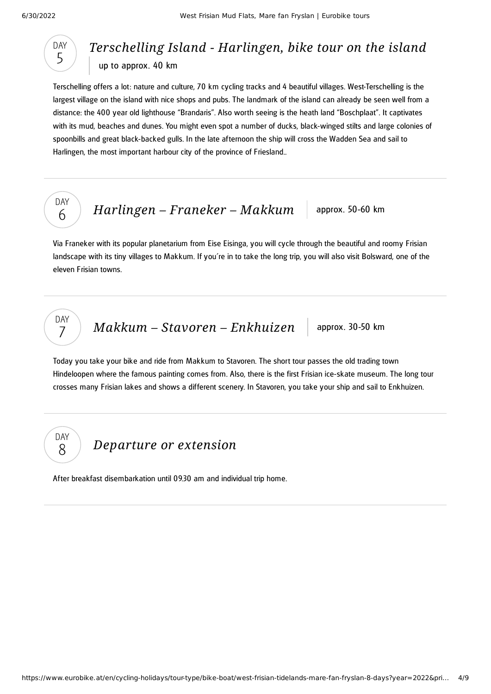

### *[Terschelling](#page-3-0) Island - Harlingen, bike tour on the island* up to approx. 40 km

<span id="page-3-0"></span>Terschelling offers a lot: nature and culture, 70 km cycling tracks and 4 beautiful villages. West-Terschelling is the largest village on the island with nice shops and pubs. The landmark of the island can already be seen well from a distance: the 400 year old lighthouse "Brandaris". Also worth seeing is the heath land "Boschplaat". It captivates with its mud, beaches and dunes. You might even spot a number of ducks, black-winged stilts and large colonies of spoonbills and great black-backed gulls. In the late afternoon the ship will cross the Wadden Sea and sail to Harlingen, the most important harbour city of the province of Friesland..



DAY 7

DAY 8

*[Harlingen](#page-3-1) – Franeker – Makkum* approx. 50-60 km

<span id="page-3-1"></span>Via Franeker with its popular planetarium from Eise Eisinga, you will cycle through the beautiful and roomy Frisian landscape with its tiny villages to Makkum. If you´re in to take the long trip, you will also visit Bolsward, one of the eleven Frisian towns.

*Makkum* – *Stavoren* – *[Enkhuizen](#page-3-2)* approx. 30-50 km

<span id="page-3-2"></span>Today you take your bike and ride from Makkum to Stavoren. The short tour passes the old trading town Hindeloopen where the famous painting comes from. Also, there is the first Frisian ice-skate museum. The long tour crosses many Frisian lakes and shows a different scenery. In Stavoren, you take your ship and sail to Enkhuizen.

*[Departure](#page-3-3) or extension*

<span id="page-3-3"></span>After breakfast disembarkation until 09.30 am and individual trip home.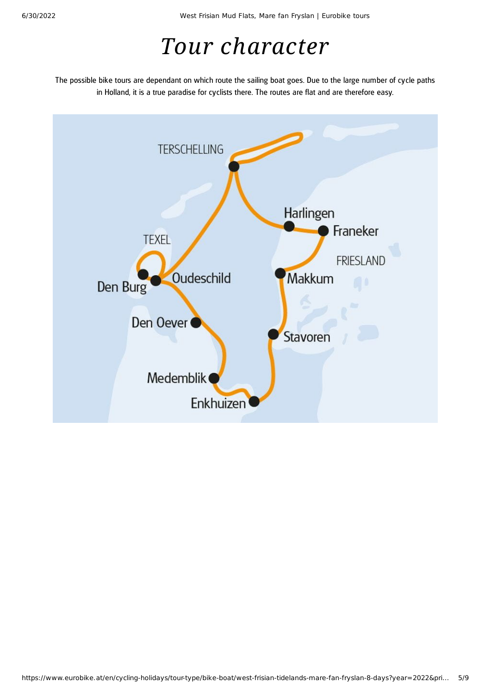# *Tour character*

The possible bike tours are dependant on which route the sailing boat goes. Due to the large number of cycle paths in Holland, it is a true paradise for cyclists there. The routes are flat and are therefore easy.

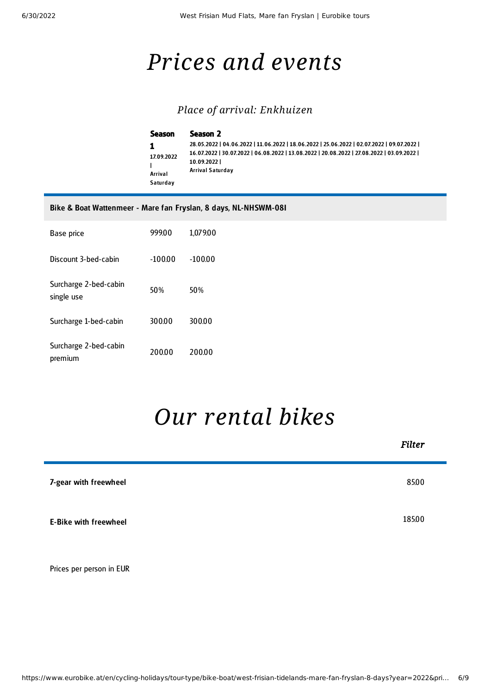## *Prices and events*

### *Place of arrival: Enkhuizen*

| Season                            | Season 2                                                                                                                                                                                                                   |
|-----------------------------------|----------------------------------------------------------------------------------------------------------------------------------------------------------------------------------------------------------------------------|
| 17.09.2022<br>Arrival<br>Saturday | 28.05.2022   04.06.2022   11.06.2022   18.06.2022   25.06.2022   02.07.2022   09.07.2022  <br>16.07.2022   30.07.2022   06.08.2022   13.08.2022   20.08.2022   27.08.2022   03.09.2022  <br>10.09.2022<br>Arrival Saturday |

#### Bike & Boat Wattenmeer - Mare fan Fryslan, 8 days, NL-NHSWM-08I

| Base price                          | 99900    | 1,079.00 |
|-------------------------------------|----------|----------|
| Discount 3-bed-cabin                | $-10000$ | $-10000$ |
| Surcharge 2-bed-cabin<br>single use | 50%      | 50%      |
| Surcharge 1-bed-cabin               | 30000    | 300.00   |
| Surcharge 2-bed-cabin<br>premium    | 200.00   | 20000    |

## *Our [rental](#page-5-0) bikes*

<span id="page-5-0"></span>

|                              | <b>Filter</b> |
|------------------------------|---------------|
| 7-gear with freewheel        | 85.00         |
| <b>E-Bike with freewheel</b> | 185.00        |
| Prices per person in EUR     |               |

https://www.eurobike.at/en/cycling-holidays/tour-type/bike-boat/west-frisian-tidelands-mare-fan-fryslan-8-days?year=2022&pri… 6/9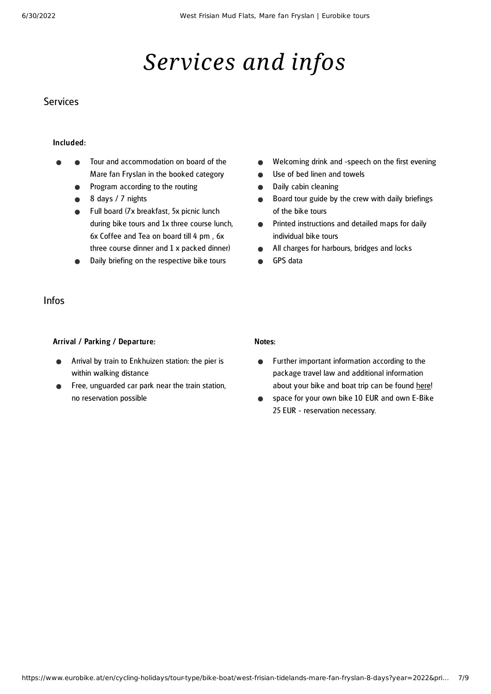# *Services and infos*

### **Services**

### Included:

- Tour and accommodation on board of the Mare fan Fryslan in the booked category
	- Program according to the routing  $\bullet$
	- 8 days / 7 nights  $\bullet$
	- **•** Full board (7x breakfast, 5x picnic lunch during bike tours and 1x three course lunch, 6x Coffee and Tea on board till 4 pm , 6x three course dinner and 1 x packed dinner)
	- Daily briefing on the respective bike tours

### Infos

### Arrival / Parking / Departure:

- Arrival by train to Enkhuizen station: the pier is within walking distance
- Free, unguarded car park near the train station, no reservation possible

#### Welcoming drink and -speech on the first evening  $\bullet$

- Use of bed linen and towels  $\bullet$
- Daily cabin cleaning  $\bullet$
- Board tour guide by the crew with daily briefings  $\bullet$ of the bike tours
- Printed instructions and detailed maps for daily  $\bullet$ individual bike tours
- All charges for harbours, bridges and locks  $\bullet$
- GPS data

#### Notes:

- Further important information according to the  $\bullet$ package travel law and additional information about your bike and boat trip can be found [here!](https://www.eurobike.at/en/travel-information/before-the-tour/pci-bike-boat)
- space for your own bike 10 EUR and own E-Bike  $\bullet$ 25 EUR - reservation necessary.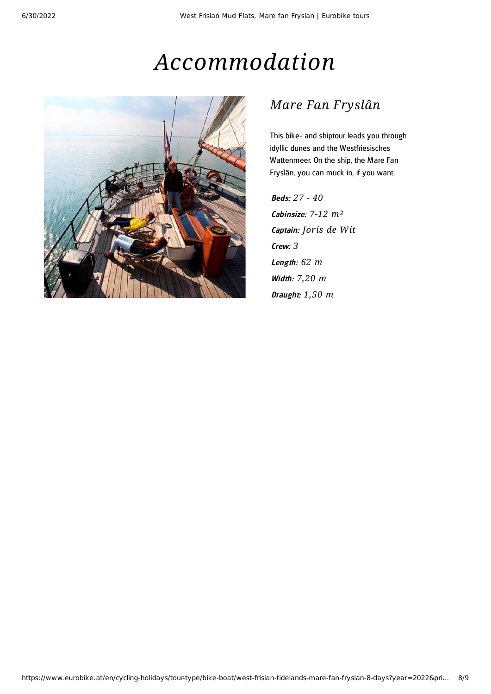## *Accommodation*



### *Mare Fan Fryslân*

This bike- and shiptour leads you through idyllic dunes and the Westfriesisches Wattenmeer. On the ship, the Mare Fan Fryslân, you can muck in, if you want.

Beds: *27 - 40* Cabinsize: *7-12 m²* Captain: *Joris de Wit* Crew: *3* Leng th: *62 m* Width: *7,20 m* Draught: *1,50 m*